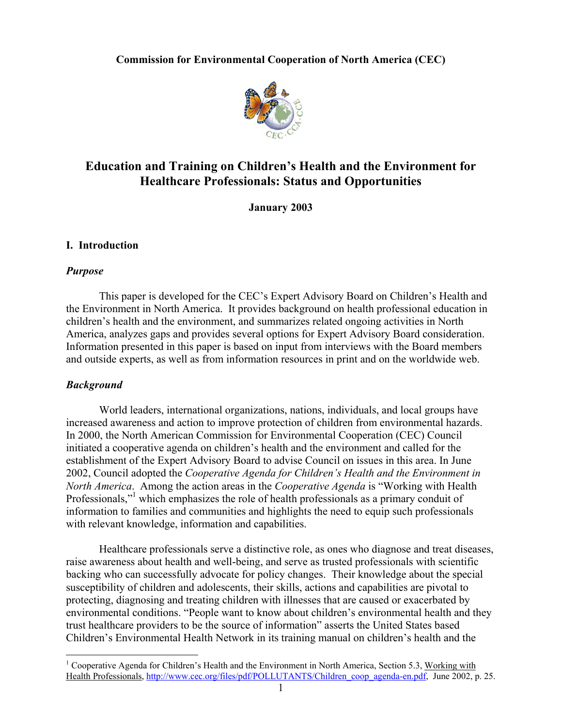# **Commission for Environmental Cooperation of North America (CEC)**



# **Education and Training on Children's Health and the Environment for Healthcare Professionals: Status and Opportunities**

**January 2003** 

# **I. Introduction**

# *Purpose*

This paper is developed for the CEC's Expert Advisory Board on Children's Health and the Environment in North America. It provides background on health professional education in children's health and the environment, and summarizes related ongoing activities in North America, analyzes gaps and provides several options for Expert Advisory Board consideration. Information presented in this paper is based on input from interviews with the Board members and outside experts, as well as from information resources in print and on the worldwide web.

# *Background*

World leaders, international organizations, nations, individuals, and local groups have increased awareness and action to improve protection of children from environmental hazards. In 2000, the North American Commission for Environmental Cooperation (CEC) Council initiated a cooperative agenda on children's health and the environment and called for the establishment of the Expert Advisory Board to advise Council on issues in this area. In June 2002, Council adopted the *Cooperative Agenda for Children's Health and the Environment in North America*. Among the action areas in the *Cooperative Agenda* is "Working with Health Professionals,"<sup>1</sup> which emphasizes the role of health professionals as a primary conduit of information to families and communities and highlights the need to equip such professionals with relevant knowledge, information and capabilities.

Healthcare professionals serve a distinctive role, as ones who diagnose and treat diseases, raise awareness about health and well-being, and serve as trusted professionals with scientific backing who can successfully advocate for policy changes. Their knowledge about the special susceptibility of children and adolescents, their skills, actions and capabilities are pivotal to protecting, diagnosing and treating children with illnesses that are caused or exacerbated by environmental conditions. "People want to know about children's environmental health and they trust healthcare providers to be the source of information" asserts the United States based Children's Environmental Health Network in its training manual on children's health and the

 $\overline{a}$ <sup>1</sup> Cooperative Agenda for Children's Health and the Environment in North America, Section 5.3, Working with Health Professionals, http://www.cec.org/files/pdf/POLLUTANTS/Children\_coop\_agenda-en.pdf, June 2002, p. 25.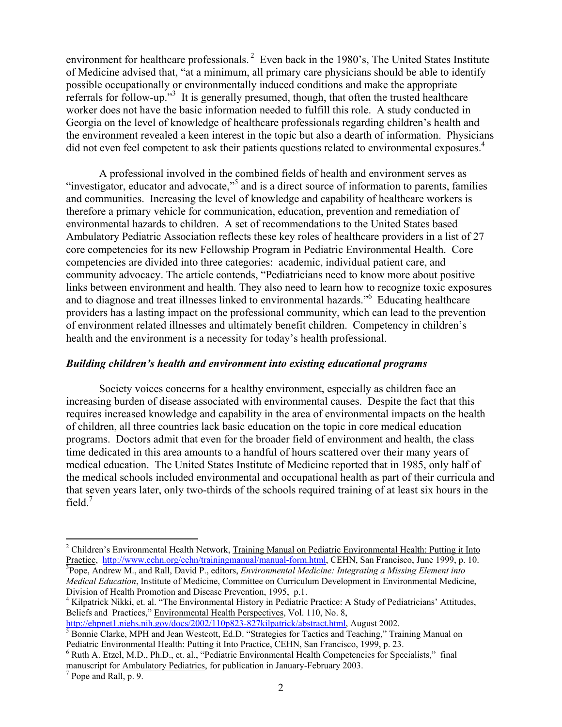environment for healthcare professionals.<sup>2</sup> Even back in the 1980's, The United States Institute of Medicine advised that, "at a minimum, all primary care physicians should be able to identify possible occupationally or environmentally induced conditions and make the appropriate referrals for follow-up."<sup>3</sup> It is generally presumed, though, that often the trusted healthcare worker does not have the basic information needed to fulfill this role. A study conducted in Georgia on the level of knowledge of healthcare professionals regarding children's health and the environment revealed a keen interest in the topic but also a dearth of information. Physicians did not even feel competent to ask their patients questions related to environmental exposures.<sup>4</sup>

A professional involved in the combined fields of health and environment serves as "investigator, educator and advocate,"<sup>5</sup> and is a direct source of information to parents, families and communities. Increasing the level of knowledge and capability of healthcare workers is therefore a primary vehicle for communication, education, prevention and remediation of environmental hazards to children. A set of recommendations to the United States based Ambulatory Pediatric Association reflects these key roles of healthcare providers in a list of 27 core competencies for its new Fellowship Program in Pediatric Environmental Health. Core competencies are divided into three categories: academic, individual patient care, and community advocacy. The article contends, "Pediatricians need to know more about positive links between environment and health. They also need to learn how to recognize toxic exposures and to diagnose and treat illnesses linked to environmental hazards."6 Educating healthcare providers has a lasting impact on the professional community, which can lead to the prevention of environment related illnesses and ultimately benefit children. Competency in children's health and the environment is a necessity for today's health professional.

### *Building children's health and environment into existing educational programs*

Society voices concerns for a healthy environment, especially as children face an increasing burden of disease associated with environmental causes. Despite the fact that this requires increased knowledge and capability in the area of environmental impacts on the health of children, all three countries lack basic education on the topic in core medical education programs. Doctors admit that even for the broader field of environment and health, the class time dedicated in this area amounts to a handful of hours scattered over their many years of medical education. The United States Institute of Medicine reported that in 1985, only half of the medical schools included environmental and occupational health as part of their curricula and that seven years later, only two-thirds of the schools required training of at least six hours in the field. $<sup>7</sup>$ </sup>

<sup>4</sup> Kilpatrick Nikki, et. al. "The Environmental History in Pediatric Practice: A Study of Pediatricians' Attitudes, Beliefs and Practices," Environmental Health Perspectives, Vol. 110, No. 8, http://ehpnet1.niehs.nih.gov/docs/2002/110p823-827kilpatrick/abstract.html, August 2002.

 $\overline{a}$ 

<sup>&</sup>lt;sup>2</sup> Children's Environmental Health Network, Training Manual on Pediatric Environmental Health: Putting it Into Practice, http://www.cehn.org/cehn/trainingmanual/manual-form.html, CEHN, San Francisco, June 1999, p. 10. Pope, Andrew M., and Rall, David P., editors, *Environmental Medicine: Integrating a Missing Element into Medical Education*, Institute of Medicine, Committee on Curriculum Development in Environmental Medicine, Division of Health Promotion and Disease Prevention, 1995, p.1.

<sup>&</sup>lt;sup>5</sup> Bonnie Clarke, MPH and Jean Westcott, Ed.D. "Strategies for Tactics and Teaching," Training Manual on

Pediatric Environmental Health: Putting it Into Practice, CEHN, San Francisco, 1999, p. 23.

 $6$  Ruth A. Etzel, M.D., Ph.D., et. al., "Pediatric Environmental Health Competencies for Specialists," final manuscript for Ambulatory Pediatrics, for publication in January-February 2003.

 $<sup>7</sup>$  Pope and Rall, p. 9.</sup>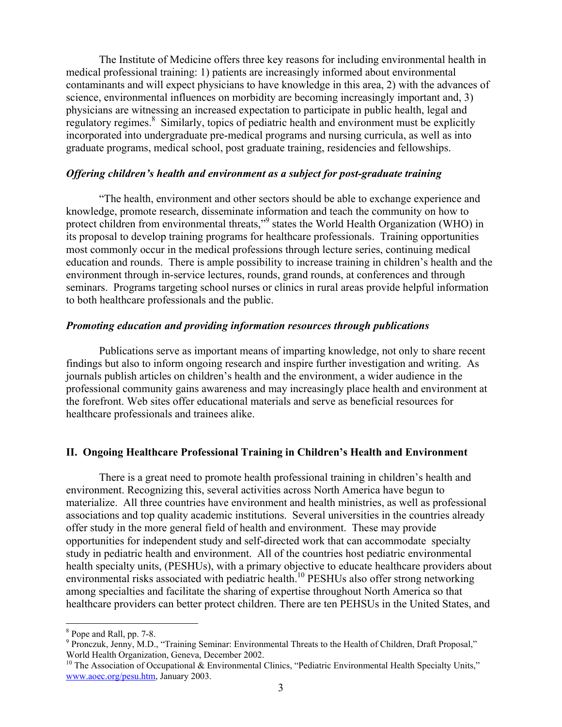The Institute of Medicine offers three key reasons for including environmental health in medical professional training: 1) patients are increasingly informed about environmental contaminants and will expect physicians to have knowledge in this area, 2) with the advances of science, environmental influences on morbidity are becoming increasingly important and, 3) physicians are witnessing an increased expectation to participate in public health, legal and regulatory regimes.<sup>8</sup> Similarly, topics of pediatric health and environment must be explicitly incorporated into undergraduate pre-medical programs and nursing curricula, as well as into graduate programs, medical school, post graduate training, residencies and fellowships.

# *Offering children's health and environment as a subject for post-graduate training*

"The health, environment and other sectors should be able to exchange experience and knowledge, promote research, disseminate information and teach the community on how to protect children from environmental threats,"<sup>9</sup> states the World Health Organization (WHO) in its proposal to develop training programs for healthcare professionals. Training opportunities most commonly occur in the medical professions through lecture series, continuing medical education and rounds. There is ample possibility to increase training in children's health and the environment through in-service lectures, rounds, grand rounds, at conferences and through seminars. Programs targeting school nurses or clinics in rural areas provide helpful information to both healthcare professionals and the public.

# *Promoting education and providing information resources through publications*

Publications serve as important means of imparting knowledge, not only to share recent findings but also to inform ongoing research and inspire further investigation and writing. As journals publish articles on children's health and the environment, a wider audience in the professional community gains awareness and may increasingly place health and environment at the forefront. Web sites offer educational materials and serve as beneficial resources for healthcare professionals and trainees alike.

# **II. Ongoing Healthcare Professional Training in Children's Health and Environment**

There is a great need to promote health professional training in children's health and environment. Recognizing this, several activities across North America have begun to materialize. All three countries have environment and health ministries, as well as professional associations and top quality academic institutions. Several universities in the countries already offer study in the more general field of health and environment. These may provide opportunities for independent study and self-directed work that can accommodate specialty study in pediatric health and environment. All of the countries host pediatric environmental health specialty units, (PESHUs), with a primary objective to educate healthcare providers about environmental risks associated with pediatric health.<sup>10</sup> PESHUs also offer strong networking among specialties and facilitate the sharing of expertise throughout North America so that healthcare providers can better protect children. There are ten PEHSUs in the United States, and

1

<sup>8</sup> Pope and Rall, pp. 7-8.

<sup>&</sup>lt;sup>9</sup> Pronczuk, Jenny, M.D., "Training Seminar: Environmental Threats to the Health of Children, Draft Proposal," World Health Organization, Geneva, December 2002.

<sup>&</sup>lt;sup>10</sup> The Association of Occupational & Environmental Clinics, "Pediatric Environmental Health Specialty Units," www.aoec.org/pesu.htm, January 2003.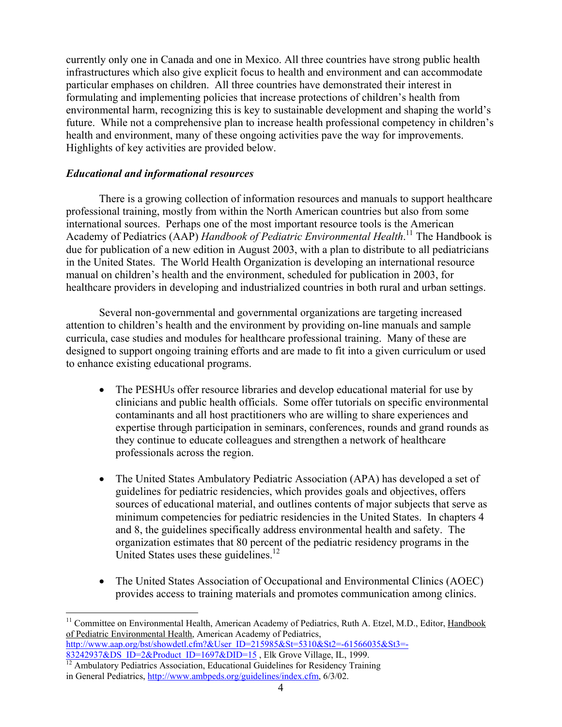currently only one in Canada and one in Mexico. All three countries have strong public health infrastructures which also give explicit focus to health and environment and can accommodate particular emphases on children. All three countries have demonstrated their interest in formulating and implementing policies that increase protections of children's health from environmental harm, recognizing this is key to sustainable development and shaping the world's future. While not a comprehensive plan to increase health professional competency in children's health and environment, many of these ongoing activities pave the way for improvements. Highlights of key activities are provided below.

# *Educational and informational resources*

There is a growing collection of information resources and manuals to support healthcare professional training, mostly from within the North American countries but also from some international sources. Perhaps one of the most important resource tools is the American Academy of Pediatrics (AAP) *Handbook of Pediatric Environmental Health*. 11 The Handbook is due for publication of a new edition in August 2003, with a plan to distribute to all pediatricians in the United States. The World Health Organization is developing an international resource manual on children's health and the environment, scheduled for publication in 2003, for healthcare providers in developing and industrialized countries in both rural and urban settings.

Several non-governmental and governmental organizations are targeting increased attention to children's health and the environment by providing on-line manuals and sample curricula, case studies and modules for healthcare professional training. Many of these are designed to support ongoing training efforts and are made to fit into a given curriculum or used to enhance existing educational programs.

- The PESHUs offer resource libraries and develop educational material for use by clinicians and public health officials. Some offer tutorials on specific environmental contaminants and all host practitioners who are willing to share experiences and expertise through participation in seminars, conferences, rounds and grand rounds as they continue to educate colleagues and strengthen a network of healthcare professionals across the region.
- The United States Ambulatory Pediatric Association (APA) has developed a set of guidelines for pediatric residencies, which provides goals and objectives, offers sources of educational material, and outlines contents of major subjects that serve as minimum competencies for pediatric residencies in the United States. In chapters 4 and 8, the guidelines specifically address environmental health and safety. The organization estimates that 80 percent of the pediatric residency programs in the United States uses these guidelines.<sup>12</sup>
- The United States Association of Occupational and Environmental Clinics (AOEC) provides access to training materials and promotes communication among clinics.

 $\frac{83242937\&\text{DS}}{12}$  ID=2&Product\_ID=1697&DID=15 , Elk Grove Village, IL, 1999.<br><sup>12</sup> Ambulatory Pediatrics Association, Educational Guidelines for Residency Training

 $\overline{a}$ 

<sup>&</sup>lt;sup>11</sup> Committee on Environmental Health, American Academy of Pediatrics, Ruth A. Etzel, M.D., Editor, Handbook of Pediatric Environmental Health, American Academy of Pediatrics, http://www.aap.org/bst/showdetl.cfm?&User\_ID=215985&St=5310&St2=-61566035&St3=-

in General Pediatrics, http://www.ambpeds.org/guidelines/index.cfm, 6/3/02.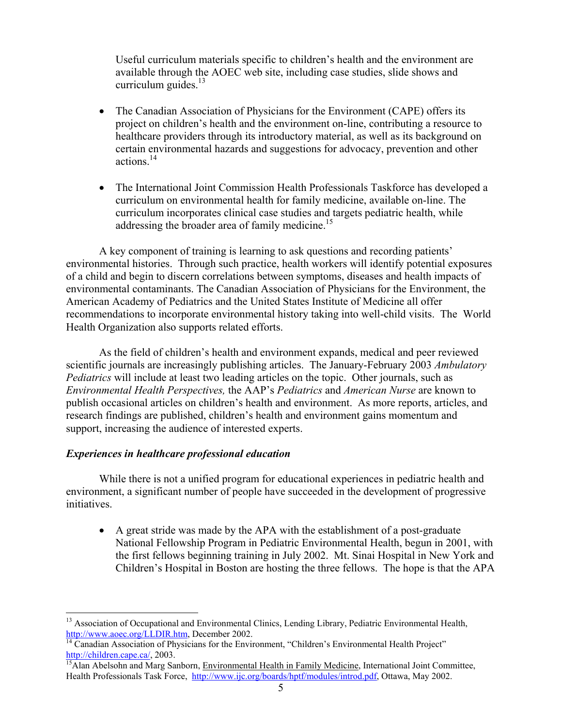Useful curriculum materials specific to children's health and the environment are available through the AOEC web site, including case studies, slide shows and curriculum guides. $^{13}$ 

- The Canadian Association of Physicians for the Environment (CAPE) offers its project on children's health and the environment on-line, contributing a resource to healthcare providers through its introductory material, as well as its background on certain environmental hazards and suggestions for advocacy, prevention and other actions $14$
- The International Joint Commission Health Professionals Taskforce has developed a curriculum on environmental health for family medicine, available on-line. The curriculum incorporates clinical case studies and targets pediatric health, while addressing the broader area of family medicine.<sup>15</sup>

A key component of training is learning to ask questions and recording patients' environmental histories. Through such practice, health workers will identify potential exposures of a child and begin to discern correlations between symptoms, diseases and health impacts of environmental contaminants. The Canadian Association of Physicians for the Environment, the American Academy of Pediatrics and the United States Institute of Medicine all offer recommendations to incorporate environmental history taking into well-child visits. The World Health Organization also supports related efforts.

As the field of children's health and environment expands, medical and peer reviewed scientific journals are increasingly publishing articles. The January-February 2003 *Ambulatory Pediatrics* will include at least two leading articles on the topic. Other journals, such as *Environmental Health Perspectives,* the AAP's *Pediatrics* and *American Nurse* are known to publish occasional articles on children's health and environment. As more reports, articles, and research findings are published, children's health and environment gains momentum and support, increasing the audience of interested experts.

# *Experiences in healthcare professional education*

 $\overline{a}$ 

While there is not a unified program for educational experiences in pediatric health and environment, a significant number of people have succeeded in the development of progressive initiatives.

• A great stride was made by the APA with the establishment of a post-graduate National Fellowship Program in Pediatric Environmental Health, begun in 2001, with the first fellows beginning training in July 2002. Mt. Sinai Hospital in New York and Children's Hospital in Boston are hosting the three fellows. The hope is that the APA

<sup>&</sup>lt;sup>13</sup> Association of Occupational and Environmental Clinics, Lending Library, Pediatric Environmental Health, http://www.aoec.org/LLDIR.htm, December 2002.<br><sup>14</sup> Canadian Association of Physicians for the Environment, "Children's Environmental Health Project"

http://children.cape.ca/, 2003.<br><sup>15</sup>Alan Abelsohn and Marg Sanborn, <u>Environmental Health in Family Medicine</u>, International Joint Committee, Health Professionals Task Force, http://www.ijc.org/boards/hptf/modules/introd.pdf, Ottawa, May 2002.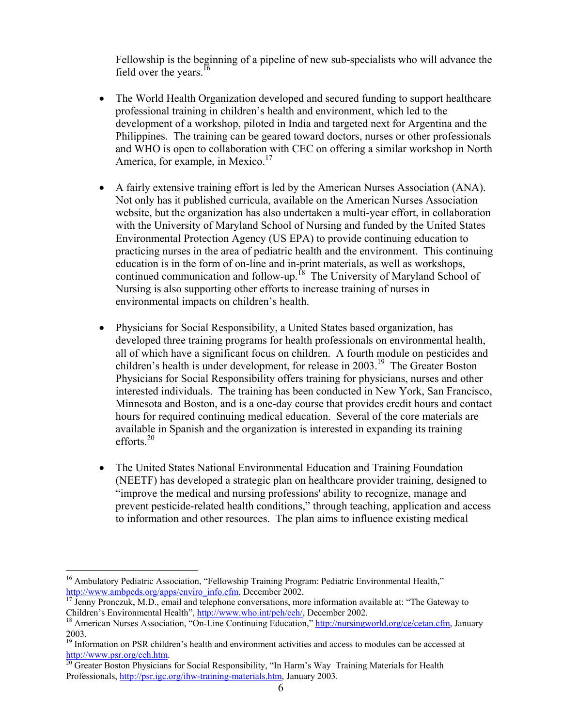Fellowship is the beginning of a pipeline of new sub-specialists who will advance the field over the years.<sup>16</sup>

- The World Health Organization developed and secured funding to support healthcare professional training in children's health and environment, which led to the development of a workshop, piloted in India and targeted next for Argentina and the Philippines. The training can be geared toward doctors, nurses or other professionals and WHO is open to collaboration with CEC on offering a similar workshop in North America, for example, in Mexico.<sup>17</sup>
- A fairly extensive training effort is led by the American Nurses Association (ANA). Not only has it published curricula, available on the American Nurses Association website, but the organization has also undertaken a multi-year effort, in collaboration with the University of Maryland School of Nursing and funded by the United States Environmental Protection Agency (US EPA) to provide continuing education to practicing nurses in the area of pediatric health and the environment. This continuing education is in the form of on-line and in-print materials, as well as workshops, continued communication and follow-up.<sup>18</sup> The University of Maryland School of Nursing is also supporting other efforts to increase training of nurses in environmental impacts on children's health.
- Physicians for Social Responsibility, a United States based organization, has developed three training programs for health professionals on environmental health, all of which have a significant focus on children. A fourth module on pesticides and children's health is under development, for release in  $2003$ <sup>19</sup>. The Greater Boston Physicians for Social Responsibility offers training for physicians, nurses and other interested individuals. The training has been conducted in New York, San Francisco, Minnesota and Boston, and is a one-day course that provides credit hours and contact hours for required continuing medical education. Several of the core materials are available in Spanish and the organization is interested in expanding its training efforts $^{20}$
- The United States National Environmental Education and Training Foundation (NEETF) has developed a strategic plan on healthcare provider training, designed to "improve the medical and nursing professions' ability to recognize, manage and prevent pesticide-related health conditions," through teaching, application and access to information and other resources. The plan aims to influence existing medical

 $\overline{a}$ 

<sup>&</sup>lt;sup>16</sup> Ambulatory Pediatric Association, "Fellowship Training Program: Pediatric Environmental Health,"

http://www.ambpeds.org/apps/enviro\_info.cfm, December 2002.<br><sup>17</sup> Jenny Pronczuk, M.D., email and telephone conversations, more information available at: "The Gateway to<br>Children's Environmental Health", http://www.who.int/

<sup>&</sup>lt;sup>18</sup> American Nurses Association, "On-Line Continuing Education," http://nursingworld.org/ce/cetan.cfm, January 2003.

<sup>&</sup>lt;sup>19</sup> Information on PSR children's health and environment activities and access to modules can be accessed at http://www.psr.org/ceh.htm.<br><sup>20</sup> Greater Boston Physicians for Social Responsibility, "In Harm's Way Training Materials for Health

Professionals, http://psr.igc.org/ihw-training-materials.htm, January 2003.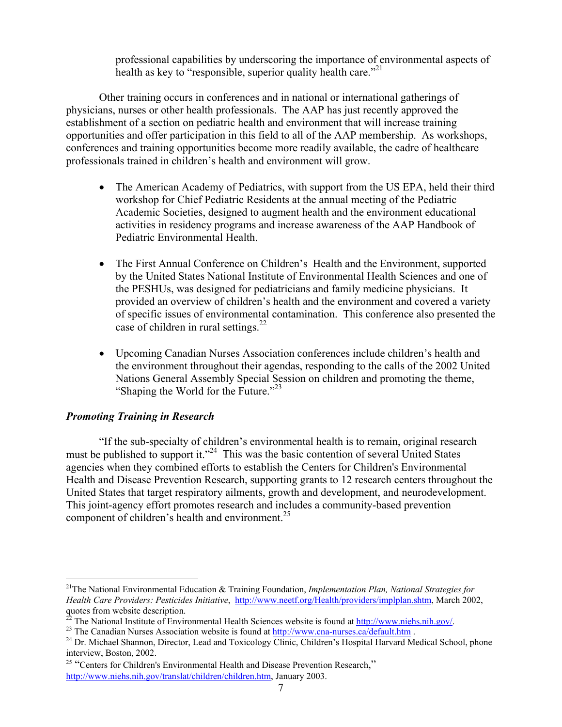professional capabilities by underscoring the importance of environmental aspects of health as key to "responsible, superior quality health care."<sup>21</sup>

Other training occurs in conferences and in national or international gatherings of physicians, nurses or other health professionals. The AAP has just recently approved the establishment of a section on pediatric health and environment that will increase training opportunities and offer participation in this field to all of the AAP membership. As workshops, conferences and training opportunities become more readily available, the cadre of healthcare professionals trained in children's health and environment will grow.

- The American Academy of Pediatrics, with support from the US EPA, held their third workshop for Chief Pediatric Residents at the annual meeting of the Pediatric Academic Societies, designed to augment health and the environment educational activities in residency programs and increase awareness of the AAP Handbook of Pediatric Environmental Health.
- The First Annual Conference on Children's Health and the Environment, supported by the United States National Institute of Environmental Health Sciences and one of the PESHUs, was designed for pediatricians and family medicine physicians. It provided an overview of children's health and the environment and covered a variety of specific issues of environmental contamination. This conference also presented the case of children in rural settings. $^{22}$
- Upcoming Canadian Nurses Association conferences include children's health and the environment throughout their agendas, responding to the calls of the 2002 United Nations General Assembly Special Session on children and promoting the theme, "Shaping the World for the Future."<sup>23</sup>

# *Promoting Training in Research*

 $\overline{a}$ 

"If the sub-specialty of children's environmental health is to remain, original research must be published to support it."<sup>24</sup> This was the basic contention of several United States agencies when they combined efforts to establish the Centers for Children's Environmental Health and Disease Prevention Research, supporting grants to 12 research centers throughout the United States that target respiratory ailments, growth and development, and neurodevelopment. This joint-agency effort promotes research and includes a community-based prevention component of children's health and environment. $^{25}$ 

<sup>21</sup>The National Environmental Education & Training Foundation, *Implementation Plan, National Strategies for Health Care Providers: Pesticides Initiative*, http://www.neetf.org/Health/providers/implplan.shtm, March 2002, quotes from website description.<br><sup>22</sup> The National Institute of Environmental Health Sciences website is found at <u>http://www.niehs.nih.gov/</u>.

<sup>&</sup>lt;sup>23</sup> The Canadian Nurses Association website is found at  $\frac{http://www.cna-nurses.ca/default.htm}{http://www.cna-nurses.ca/default.htm}$ .<br><sup>24</sup> Dr. Michael Shannon, Director, Lead and Toxicology Clinic, Children's Hospital Harvard Medical School, phone interview, Boston, 2002.

<sup>&</sup>lt;sup>25</sup> "Centers for Children's Environmental Health and Disease Prevention Research," http://www.niehs.nih.gov/translat/children/children.htm, January 2003.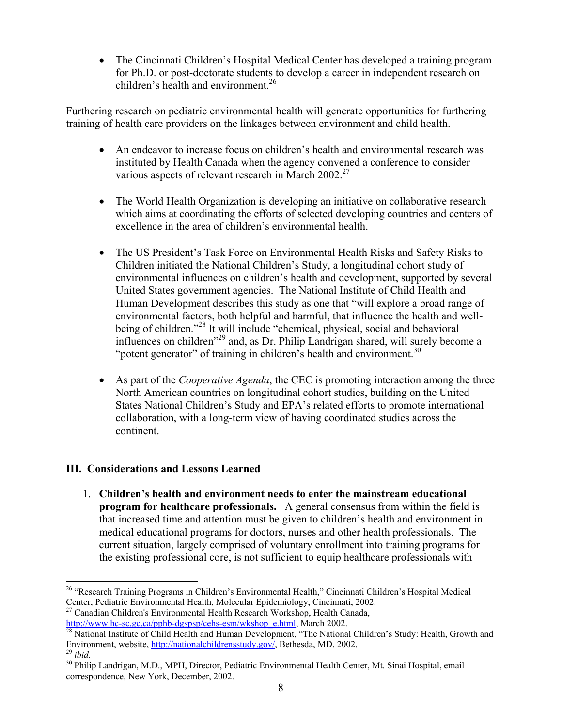• The Cincinnati Children's Hospital Medical Center has developed a training program for Ph.D. or post-doctorate students to develop a career in independent research on children's health and environment.<sup>26</sup>

Furthering research on pediatric environmental health will generate opportunities for furthering training of health care providers on the linkages between environment and child health.

- An endeavor to increase focus on children's health and environmental research was instituted by Health Canada when the agency convened a conference to consider various aspects of relevant research in March 2002.<sup>27</sup>
- The World Health Organization is developing an initiative on collaborative research which aims at coordinating the efforts of selected developing countries and centers of excellence in the area of children's environmental health.
- The US President's Task Force on Environmental Health Risks and Safety Risks to Children initiated the National Children's Study, a longitudinal cohort study of environmental influences on children's health and development, supported by several United States government agencies. The National Institute of Child Health and Human Development describes this study as one that "will explore a broad range of environmental factors, both helpful and harmful, that influence the health and wellbeing of children."<sup>28</sup> It will include "chemical, physical, social and behavioral influences on children"29 and, as Dr. Philip Landrigan shared, will surely become a "potent generator" of training in children's health and environment. $30$
- As part of the *Cooperative Agenda*, the CEC is promoting interaction among the three North American countries on longitudinal cohort studies, building on the United States National Children's Study and EPA's related efforts to promote international collaboration, with a long-term view of having coordinated studies across the continent.

# **III. Considerations and Lessons Learned**

1. **Children's health and environment needs to enter the mainstream educational program for healthcare professionals.** A general consensus from within the field is that increased time and attention must be given to children's health and environment in medical educational programs for doctors, nurses and other health professionals. The current situation, largely comprised of voluntary enrollment into training programs for the existing professional core, is not sufficient to equip healthcare professionals with

Center, Pediatric Environmental Health, Molecular Epidemiology, Cincinnati, 2002.<br><sup>27</sup> Canadian Children's Environmental Health Research Workshop, Health Canada,<br>http://www.hc-sc.gc.ca/pphb-dgspsp/cehs-esm/wkshop\_e.html. M

 $\overline{a}$ <sup>26</sup> "Research Training Programs in Children's Environmental Health," Cincinnati Children's Hospital Medical

 $\frac{\ln(\mathbf{p}}{28}$  National Institute of Child Health and Human Development, "The National Children's Study: Health, Growth and Environment, website, http://nationalchildrensstudy.gov/, Bethesda, MD, 2002.

<sup>&</sup>lt;sup>29</sup> *ibid.* 30 Philip Landrigan, M.D., MPH, Director, Pediatric Environmental Health Center, Mt. Sinai Hospital, email 30 Philip Landrigan, M.D., MPH, Director, Pediatric Environmental Health Center, Mt. Sinai Hospital, e correspondence, New York, December, 2002.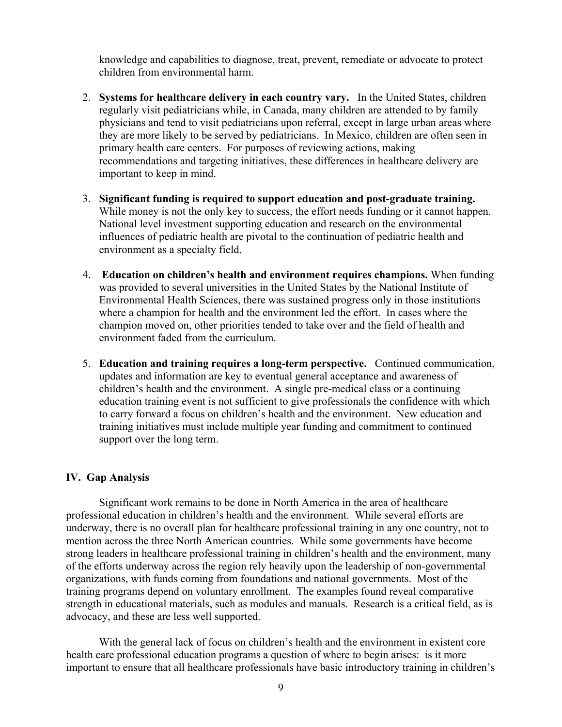knowledge and capabilities to diagnose, treat, prevent, remediate or advocate to protect children from environmental harm.

- 2. **Systems for healthcare delivery in each country vary.** In the United States, children regularly visit pediatricians while, in Canada, many children are attended to by family physicians and tend to visit pediatricians upon referral, except in large urban areas where they are more likely to be served by pediatricians. In Mexico, children are often seen in primary health care centers. For purposes of reviewing actions, making recommendations and targeting initiatives, these differences in healthcare delivery are important to keep in mind.
- 3. **Significant funding is required to support education and post-graduate training.**  While money is not the only key to success, the effort needs funding or it cannot happen. National level investment supporting education and research on the environmental influences of pediatric health are pivotal to the continuation of pediatric health and environment as a specialty field.
- 4. **Education on children's health and environment requires champions.** When funding was provided to several universities in the United States by the National Institute of Environmental Health Sciences, there was sustained progress only in those institutions where a champion for health and the environment led the effort. In cases where the champion moved on, other priorities tended to take over and the field of health and environment faded from the curriculum.
- 5. **Education and training requires a long-term perspective.** Continued communication, updates and information are key to eventual general acceptance and awareness of children's health and the environment. A single pre-medical class or a continuing education training event is not sufficient to give professionals the confidence with which to carry forward a focus on children's health and the environment. New education and training initiatives must include multiple year funding and commitment to continued support over the long term.

#### **IV. Gap Analysis**

Significant work remains to be done in North America in the area of healthcare professional education in children's health and the environment. While several efforts are underway, there is no overall plan for healthcare professional training in any one country, not to mention across the three North American countries. While some governments have become strong leaders in healthcare professional training in children's health and the environment, many of the efforts underway across the region rely heavily upon the leadership of non-governmental organizations, with funds coming from foundations and national governments. Most of the training programs depend on voluntary enrollment. The examples found reveal comparative strength in educational materials, such as modules and manuals. Research is a critical field, as is advocacy, and these are less well supported.

With the general lack of focus on children's health and the environment in existent core health care professional education programs a question of where to begin arises: is it more important to ensure that all healthcare professionals have basic introductory training in children's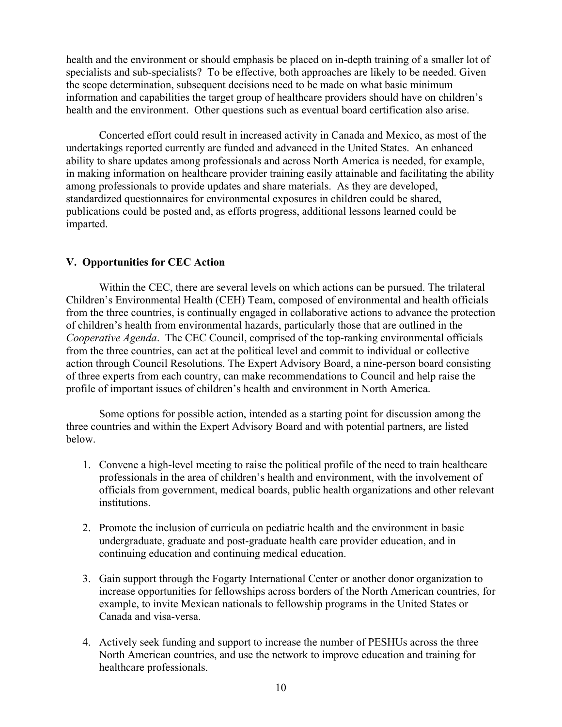health and the environment or should emphasis be placed on in-depth training of a smaller lot of specialists and sub-specialists? To be effective, both approaches are likely to be needed. Given the scope determination, subsequent decisions need to be made on what basic minimum information and capabilities the target group of healthcare providers should have on children's health and the environment. Other questions such as eventual board certification also arise.

Concerted effort could result in increased activity in Canada and Mexico, as most of the undertakings reported currently are funded and advanced in the United States. An enhanced ability to share updates among professionals and across North America is needed, for example, in making information on healthcare provider training easily attainable and facilitating the ability among professionals to provide updates and share materials. As they are developed, standardized questionnaires for environmental exposures in children could be shared, publications could be posted and, as efforts progress, additional lessons learned could be imparted.

# **V. Opportunities for CEC Action**

 Within the CEC, there are several levels on which actions can be pursued. The trilateral Children's Environmental Health (CEH) Team, composed of environmental and health officials from the three countries, is continually engaged in collaborative actions to advance the protection of children's health from environmental hazards, particularly those that are outlined in the *Cooperative Agenda*. The CEC Council, comprised of the top-ranking environmental officials from the three countries, can act at the political level and commit to individual or collective action through Council Resolutions. The Expert Advisory Board, a nine-person board consisting of three experts from each country, can make recommendations to Council and help raise the profile of important issues of children's health and environment in North America.

Some options for possible action, intended as a starting point for discussion among the three countries and within the Expert Advisory Board and with potential partners, are listed below.

- 1. Convene a high-level meeting to raise the political profile of the need to train healthcare professionals in the area of children's health and environment, with the involvement of officials from government, medical boards, public health organizations and other relevant **institutions**
- 2. Promote the inclusion of curricula on pediatric health and the environment in basic undergraduate, graduate and post-graduate health care provider education, and in continuing education and continuing medical education.
- 3. Gain support through the Fogarty International Center or another donor organization to increase opportunities for fellowships across borders of the North American countries, for example, to invite Mexican nationals to fellowship programs in the United States or Canada and visa-versa.
- 4. Actively seek funding and support to increase the number of PESHUs across the three North American countries, and use the network to improve education and training for healthcare professionals.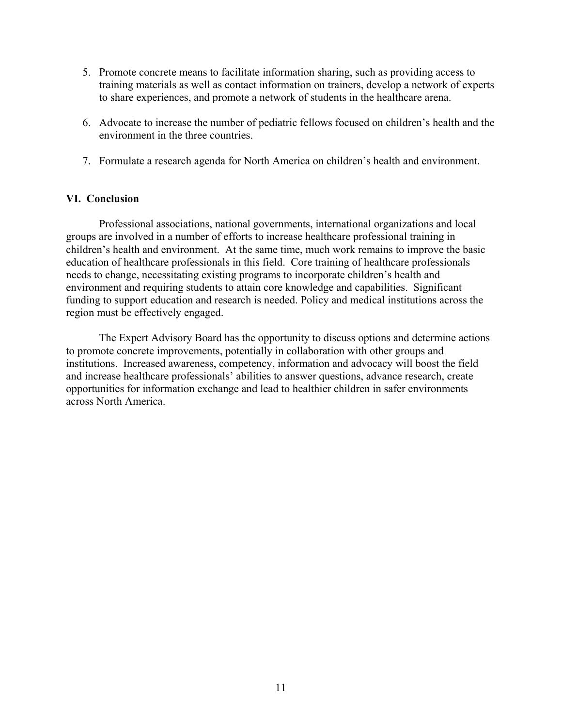- 5. Promote concrete means to facilitate information sharing, such as providing access to training materials as well as contact information on trainers, develop a network of experts to share experiences, and promote a network of students in the healthcare arena.
- 6. Advocate to increase the number of pediatric fellows focused on children's health and the environment in the three countries.
- 7. Formulate a research agenda for North America on children's health and environment.

# **VI. Conclusion**

Professional associations, national governments, international organizations and local groups are involved in a number of efforts to increase healthcare professional training in children's health and environment. At the same time, much work remains to improve the basic education of healthcare professionals in this field. Core training of healthcare professionals needs to change, necessitating existing programs to incorporate children's health and environment and requiring students to attain core knowledge and capabilities. Significant funding to support education and research is needed. Policy and medical institutions across the region must be effectively engaged.

The Expert Advisory Board has the opportunity to discuss options and determine actions to promote concrete improvements, potentially in collaboration with other groups and institutions. Increased awareness, competency, information and advocacy will boost the field and increase healthcare professionals' abilities to answer questions, advance research, create opportunities for information exchange and lead to healthier children in safer environments across North America.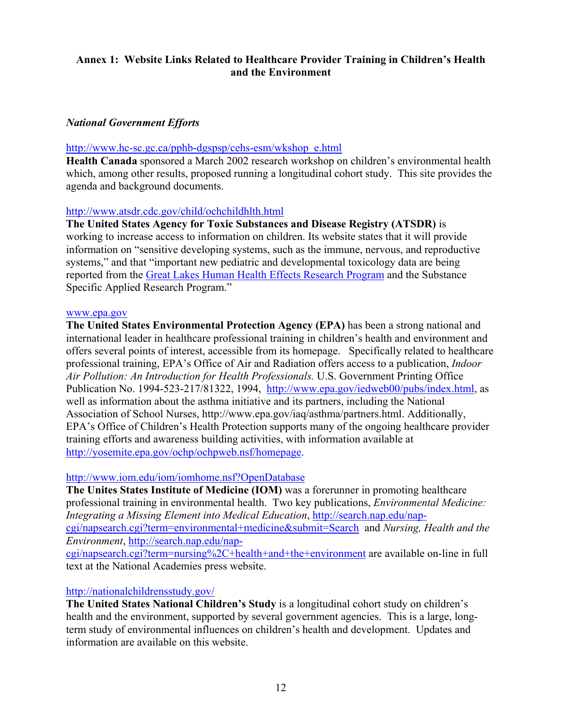# **Annex 1: Website Links Related to Healthcare Provider Training in Children's Health and the Environment**

# *National Government Efforts*

# http://www.hc-sc.gc.ca/pphb-dgspsp/cehs-esm/wkshop\_e.html

**Health Canada** sponsored a March 2002 research workshop on children's environmental health which, among other results, proposed running a longitudinal cohort study. This site provides the agenda and background documents.

# http://www.atsdr.cdc.gov/child/ochchildhlth.html

**The United States Agency for Toxic Substances and Disease Registry (ATSDR)** is working to increase access to information on children. Its website states that it will provide information on "sensitive developing systems, such as the immune, nervous, and reproductive systems," and that "important new pediatric and developmental toxicology data are being reported from the Great Lakes Human Health Effects Research Program and the Substance Specific Applied Research Program."

# www.epa.gov

**The United States Environmental Protection Agency (EPA)** has been a strong national and international leader in healthcare professional training in children's health and environment and offers several points of interest, accessible from its homepage. Specifically related to healthcare professional training, EPA's Office of Air and Radiation offers access to a publication, *Indoor Air Pollution: An Introduction for Health Professionals.* U.S. Government Printing Office Publication No. 1994-523-217/81322, 1994, http://www.epa.gov/iedweb00/pubs/index.html, as well as information about the asthma initiative and its partners, including the National Association of School Nurses, http://www.epa.gov/iaq/asthma/partners.html. Additionally, EPA's Office of Children's Health Protection supports many of the ongoing healthcare provider training efforts and awareness building activities, with information available at http://yosemite.epa.gov/ochp/ochpweb.nsf/homepage.

# http://www.iom.edu/iom/iomhome.nsf?OpenDatabase

**The Unites States Institute of Medicine (IOM)** was a forerunner in promoting healthcare professional training in environmental health. Two key publications, *Environmental Medicine: Integrating a Missing Element into Medical Education*, http://search.nap.edu/napcgi/napsearch.cgi?term=environmental+medicine&submit=Search and *Nursing, Health and the Environment*, http://search.nap.edu/napcgi/napsearch.cgi?term=nursing%2C+health+and+the+environment are available on-line in full text at the National Academies press website.

# http://nationalchildrensstudy.gov/

**The United States National Children's Study** is a longitudinal cohort study on children's health and the environment, supported by several government agencies. This is a large, longterm study of environmental influences on children's health and development. Updates and information are available on this website.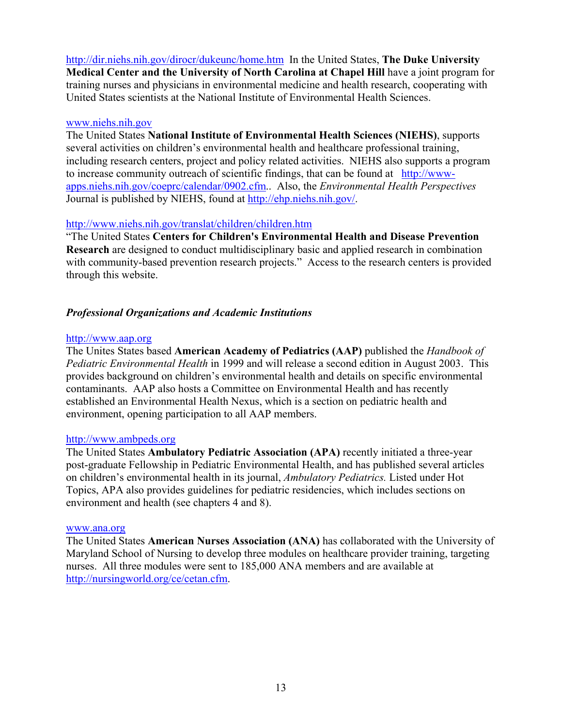http://dir.niehs.nih.gov/dirocr/dukeunc/home.htm In the United States, **The Duke University Medical Center and the University of North Carolina at Chapel Hill** have a joint program for training nurses and physicians in environmental medicine and health research, cooperating with United States scientists at the National Institute of Environmental Health Sciences.

### www.niehs.nih.gov

The United States **National Institute of Environmental Health Sciences (NIEHS)**, supports several activities on children's environmental health and healthcare professional training, including research centers, project and policy related activities. NIEHS also supports a program to increase community outreach of scientific findings, that can be found at http://wwwapps.niehs.nih.gov/coeprc/calendar/0902.cfm.. Also, the *Environmental Health Perspectives*  Journal is published by NIEHS, found at http://ehp.niehs.nih.gov/.

# http://www.niehs.nih.gov/translat/children/children.htm

"The United States **Centers for Children's Environmental Health and Disease Prevention Research** are designed to conduct multidisciplinary basic and applied research in combination with community-based prevention research projects." Access to the research centers is provided through this website.

# *Professional Organizations and Academic Institutions*

# http://www.aap.org

The Unites States based **American Academy of Pediatrics (AAP)** published the *Handbook of Pediatric Environmental Health* in 1999 and will release a second edition in August 2003. This provides background on children's environmental health and details on specific environmental contaminants. AAP also hosts a Committee on Environmental Health and has recently established an Environmental Health Nexus, which is a section on pediatric health and environment, opening participation to all AAP members.

# http://www.ambpeds.org

The United States **Ambulatory Pediatric Association (APA)** recently initiated a three-year post-graduate Fellowship in Pediatric Environmental Health, and has published several articles on children's environmental health in its journal, *Ambulatory Pediatrics.* Listed under Hot Topics, APA also provides guidelines for pediatric residencies, which includes sections on environment and health (see chapters 4 and 8).

# www.ana.org

The United States **American Nurses Association (ANA)** has collaborated with the University of Maryland School of Nursing to develop three modules on healthcare provider training, targeting nurses. All three modules were sent to 185,000 ANA members and are available at http://nursingworld.org/ce/cetan.cfm.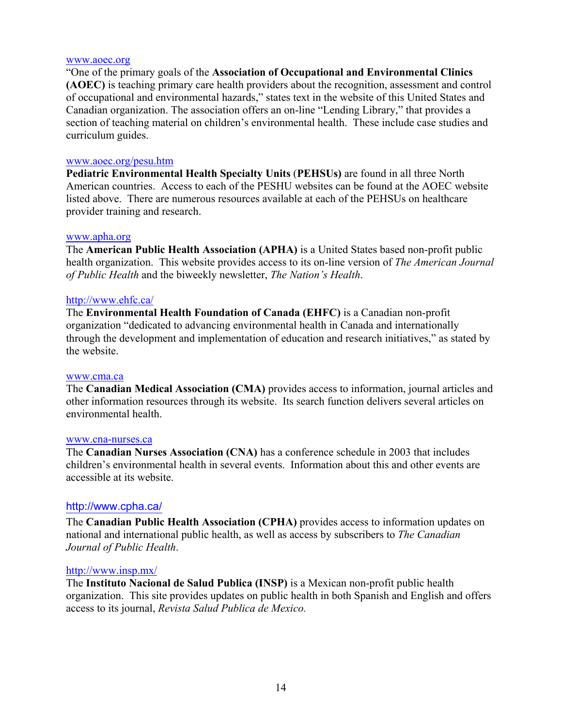#### www.aoec.org

"One of the primary goals of the **Association of Occupational and Environmental Clinics (AOEC)** is teaching primary care health providers about the recognition, assessment and control of occupational and environmental hazards," states text in the website of this United States and Canadian organization. The association offers an on-line "Lending Library," that provides a section of teaching material on children's environmental health. These include case studies and curriculum guides.

#### www.aoec.org/pesu.htm

**Pediatric Environmental Health Specialty Units** (**PEHSUs)** are found in all three North American countries. Access to each of the PESHU websites can be found at the AOEC website listed above. There are numerous resources available at each of the PEHSUs on healthcare provider training and research.

#### www.apha.org

The **American Public Health Association (APHA)** is a United States based non-profit public health organization. This website provides access to its on-line version of *The American Journal of Public Health* and the biweekly newsletter, *The Nation's Health*.

#### http://www.ehfc.ca/

The **Environmental Health Foundation of Canada (EHFC)** is a Canadian non-profit organization "dedicated to advancing environmental health in Canada and internationally through the development and implementation of education and research initiatives," as stated by the website.

#### www.cma.ca

The **Canadian Medical Association (CMA)** provides access to information, journal articles and other information resources through its website. Its search function delivers several articles on environmental health.

#### www.cna-nurses.ca

The **Canadian Nurses Association (CNA)** has a conference schedule in 2003 that includes children's environmental health in several events. Information about this and other events are accessible at its website.

#### http://www.cpha.ca/

The **Canadian Public Health Association (CPHA)** provides access to information updates on national and international public health, as well as access by subscribers to *The Canadian Journal of Public Health*.

#### http://www.insp.mx/

The **Instituto Nacional de Salud Publica (INSP)** is a Mexican non-profit public health organization. This site provides updates on public health in both Spanish and English and offers access to its journal, *Revista Salud Publica de Mexico.*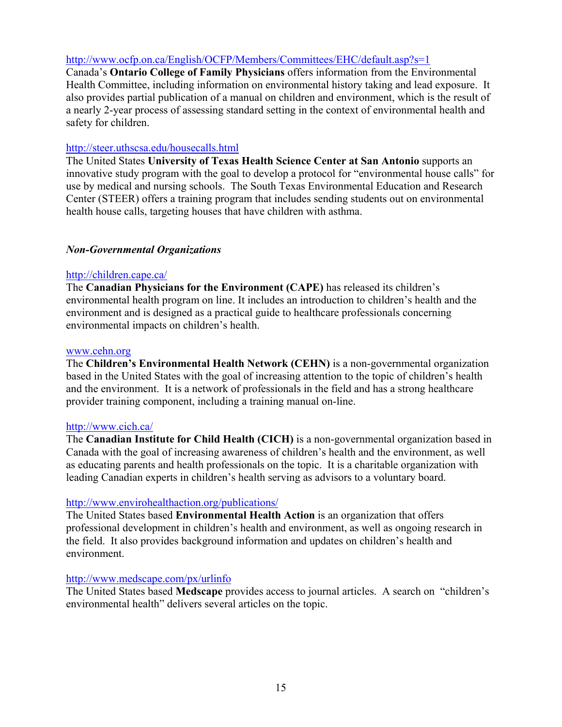# http://www.ocfp.on.ca/English/OCFP/Members/Committees/EHC/default.asp?s=1

Canada's **Ontario College of Family Physicians** offers information from the Environmental Health Committee, including information on environmental history taking and lead exposure. It also provides partial publication of a manual on children and environment, which is the result of a nearly 2-year process of assessing standard setting in the context of environmental health and safety for children.

# http://steer.uthscsa.edu/housecalls.html

The United States **University of Texas Health Science Center at San Antonio** supports an innovative study program with the goal to develop a protocol for "environmental house calls" for use by medical and nursing schools. The South Texas Environmental Education and Research Center (STEER) offers a training program that includes sending students out on environmental health house calls, targeting houses that have children with asthma.

# *Non-Governmental Organizations*

# http://children.cape.ca/

The **Canadian Physicians for the Environment (CAPE)** has released its children's environmental health program on line. It includes an introduction to children's health and the environment and is designed as a practical guide to healthcare professionals concerning environmental impacts on children's health.

# www.cehn.org

The **Children's Environmental Health Network (CEHN)** is a non-governmental organization based in the United States with the goal of increasing attention to the topic of children's health and the environment. It is a network of professionals in the field and has a strong healthcare provider training component, including a training manual on-line.

# http://www.cich.ca/

The **Canadian Institute for Child Health (CICH)** is a non-governmental organization based in Canada with the goal of increasing awareness of children's health and the environment, as well as educating parents and health professionals on the topic. It is a charitable organization with leading Canadian experts in children's health serving as advisors to a voluntary board.

# http://www.envirohealthaction.org/publications/

The United States based **Environmental Health Action** is an organization that offers professional development in children's health and environment, as well as ongoing research in the field. It also provides background information and updates on children's health and environment.

# http://www.medscape.com/px/urlinfo

The United States based **Medscape** provides access to journal articles. A search on "children's environmental health" delivers several articles on the topic.